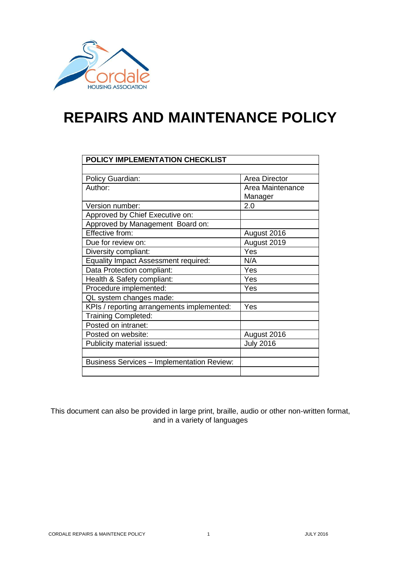

# **REPAIRS AND MAINTENANCE POLICY**

| POLICY IMPLEMENTATION CHECKLIST                   |                      |  |
|---------------------------------------------------|----------------------|--|
|                                                   |                      |  |
| <b>Policy Guardian:</b>                           | <b>Area Director</b> |  |
| Author:                                           | Area Maintenance     |  |
|                                                   | Manager              |  |
| Version number:                                   | 2.0                  |  |
| Approved by Chief Executive on:                   |                      |  |
| Approved by Management Board on:                  |                      |  |
| Effective from:                                   | August 2016          |  |
| Due for review on:                                | August 2019          |  |
| Diversity compliant:                              | Yes                  |  |
| <b>Equality Impact Assessment required:</b>       | N/A                  |  |
| Data Protection compliant:                        | Yes                  |  |
| Health & Safety compliant:                        | Yes                  |  |
| Procedure implemented:                            | Yes                  |  |
| QL system changes made:                           |                      |  |
| KPIs / reporting arrangements implemented:        | Yes                  |  |
| <b>Training Completed:</b>                        |                      |  |
| Posted on intranet:                               |                      |  |
| Posted on website:                                | August 2016          |  |
| Publicity material issued:                        | <b>July 2016</b>     |  |
|                                                   |                      |  |
| <b>Business Services - Implementation Review:</b> |                      |  |
|                                                   |                      |  |

This document can also be provided in large print, braille, audio or other non-written format, and in a variety of languages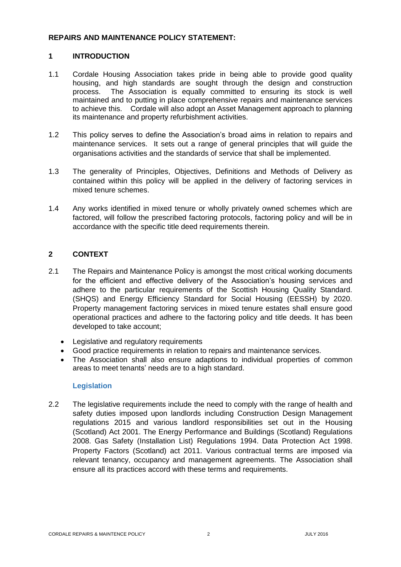#### **REPAIRS AND MAINTENANCE POLICY STATEMENT:**

# **1 INTRODUCTION**

- 1.1 Cordale Housing Association takes pride in being able to provide good quality housing, and high standards are sought through the design and construction process. The Association is equally committed to ensuring its stock is well maintained and to putting in place comprehensive repairs and maintenance services to achieve this. Cordale will also adopt an Asset Management approach to planning its maintenance and property refurbishment activities.
- 1.2 This policy serves to define the Association's broad aims in relation to repairs and maintenance services. It sets out a range of general principles that will guide the organisations activities and the standards of service that shall be implemented.
- 1.3 The generality of Principles, Objectives, Definitions and Methods of Delivery as contained within this policy will be applied in the delivery of factoring services in mixed tenure schemes.
- 1.4 Any works identified in mixed tenure or wholly privately owned schemes which are factored, will follow the prescribed factoring protocols, factoring policy and will be in accordance with the specific title deed requirements therein.

# **2 CONTEXT**

- 2.1 The Repairs and Maintenance Policy is amongst the most critical working documents for the efficient and effective delivery of the Association's housing services and adhere to the particular requirements of the Scottish Housing Quality Standard. (SHQS) and Energy Efficiency Standard for Social Housing (EESSH) by 2020. Property management factoring services in mixed tenure estates shall ensure good operational practices and adhere to the factoring policy and title deeds. It has been developed to take account;
	- Legislative and regulatory requirements
	- Good practice requirements in relation to repairs and maintenance services.
	- The Association shall also ensure adaptions to individual properties of common areas to meet tenants' needs are to a high standard.

#### **Legislation**

2.2 The legislative requirements include the need to comply with the range of health and safety duties imposed upon landlords including Construction Design Management regulations 2015 and various landlord responsibilities set out in the Housing (Scotland) Act 2001. The Energy Performance and Buildings (Scotland) Regulations 2008. Gas Safety (Installation List) Regulations 1994. Data Protection Act 1998. Property Factors (Scotland) act 2011. Various contractual terms are imposed via relevant tenancy, occupancy and management agreements. The Association shall ensure all its practices accord with these terms and requirements.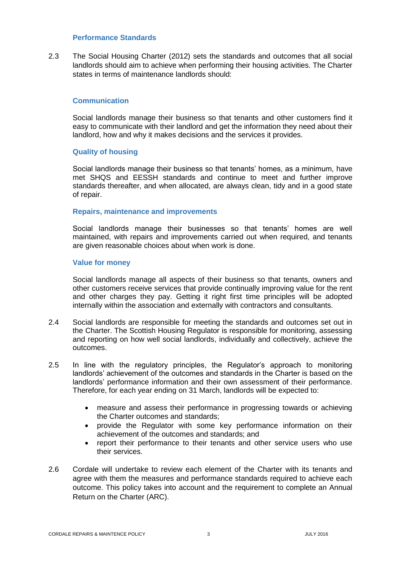#### **Performance Standards**

2.3 The Social Housing Charter (2012) sets the standards and outcomes that all social landlords should aim to achieve when performing their housing activities. The Charter states in terms of maintenance landlords should:

#### **Communication**

Social landlords manage their business so that tenants and other customers find it easy to communicate with their landlord and get the information they need about their landlord, how and why it makes decisions and the services it provides.

#### **Quality of housing**

Social landlords manage their business so that tenants' homes, as a minimum, have met SHQS and EESSH standards and continue to meet and further improve standards thereafter, and when allocated, are always clean, tidy and in a good state of repair.

#### **Repairs, maintenance and improvements**

Social landlords manage their businesses so that tenants' homes are well maintained, with repairs and improvements carried out when required, and tenants are given reasonable choices about when work is done.

#### **Value for money**

Social landlords manage all aspects of their business so that tenants, owners and other customers receive services that provide continually improving value for the rent and other charges they pay. Getting it right first time principles will be adopted internally within the association and externally with contractors and consultants.

- 2.4 Social landlords are responsible for meeting the standards and outcomes set out in the Charter. The Scottish Housing Regulator is responsible for monitoring, assessing and reporting on how well social landlords, individually and collectively, achieve the outcomes.
- 2.5 In line with the regulatory principles, the Regulator's approach to monitoring landlords' achievement of the outcomes and standards in the Charter is based on the landlords' performance information and their own assessment of their performance. Therefore, for each year ending on 31 March, landlords will be expected to:
	- measure and assess their performance in progressing towards or achieving the Charter outcomes and standards;
	- provide the Regulator with some key performance information on their achievement of the outcomes and standards; and
	- report their performance to their tenants and other service users who use their services.
- 2.6 Cordale will undertake to review each element of the Charter with its tenants and agree with them the measures and performance standards required to achieve each outcome. This policy takes into account and the requirement to complete an Annual Return on the Charter (ARC).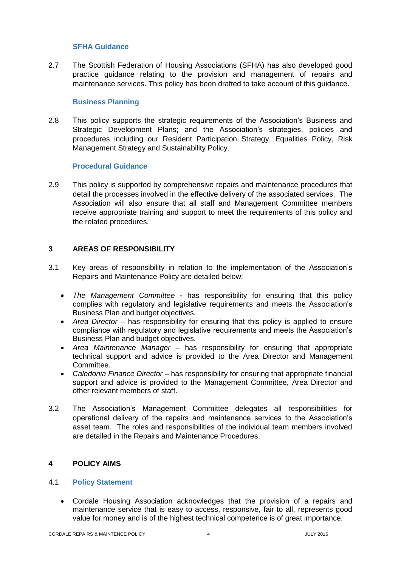#### **SFHA Guidance**

2.7 The Scottish Federation of Housing Associations (SFHA) has also developed good practice guidance relating to the provision and management of repairs and maintenance services. This policy has been drafted to take account of this guidance.

#### **Business Planning**

2.8 This policy supports the strategic requirements of the Association's Business and Strategic Development Plans; and the Association's strategies, policies and procedures including our Resident Participation Strategy, Equalities Policy, Risk Management Strategy and Sustainability Policy.

#### **Procedural Guidance**

2.9 This policy is supported by comprehensive repairs and maintenance procedures that detail the processes involved in the effective delivery of the associated services. The Association will also ensure that all staff and Management Committee members receive appropriate training and support to meet the requirements of this policy and the related procedures.

# **3 AREAS OF RESPONSIBILITY**

- 3.1 Key areas of responsibility in relation to the implementation of the Association's Repairs and Maintenance Policy are detailed below:
	- *The Management Committee* **-** has responsibility for ensuring that this policy complies with regulatory and legislative requirements and meets the Association's Business Plan and budget objectives.
	- *Area Director* has responsibility for ensuring that this policy is applied to ensure compliance with regulatory and legislative requirements and meets the Association's Business Plan and budget objectives.
	- *Area Maintenance Manager*  has responsibility for ensuring that appropriate technical support and advice is provided to the Area Director and Management Committee.
	- *Caledonia Finance Director* has responsibility for ensuring that appropriate financial support and advice is provided to the Management Committee, Area Director and other relevant members of staff.
- 3.2 The Association's Management Committee delegates all responsibilities for operational delivery of the repairs and maintenance services to the Association's asset team. The roles and responsibilities of the individual team members involved are detailed in the Repairs and Maintenance Procedures.

## **4 POLICY AIMS**

#### 4.1 **Policy Statement**

 Cordale Housing Association acknowledges that the provision of a repairs and maintenance service that is easy to access, responsive, fair to all, represents good value for money and is of the highest technical competence is of great importance.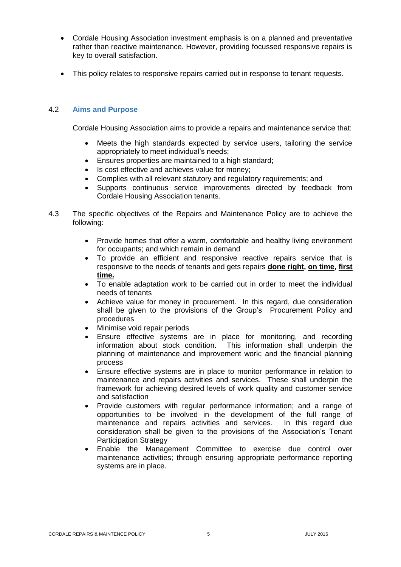- Cordale Housing Association investment emphasis is on a planned and preventative rather than reactive maintenance. However, providing focussed responsive repairs is key to overall satisfaction.
- This policy relates to responsive repairs carried out in response to tenant requests.

#### 4.2 **Aims and Purpose**

Cordale Housing Association aims to provide a repairs and maintenance service that:

- Meets the high standards expected by service users, tailoring the service appropriately to meet individual's needs;
- Ensures properties are maintained to a high standard;
- Is cost effective and achieves value for money;
- Complies with all relevant statutory and regulatory requirements; and
- Supports continuous service improvements directed by feedback from Cordale Housing Association tenants.
- 4.3 The specific objectives of the Repairs and Maintenance Policy are to achieve the following:
	- Provide homes that offer a warm, comfortable and healthy living environment for occupants; and which remain in demand
	- To provide an efficient and responsive reactive repairs service that is responsive to the needs of tenants and gets repairs **done right, on time, first time.**
	- To enable adaptation work to be carried out in order to meet the individual needs of tenants
	- Achieve value for money in procurement. In this regard, due consideration shall be given to the provisions of the Group's Procurement Policy and procedures
	- Minimise void repair periods
	- Ensure effective systems are in place for monitoring, and recording information about stock condition. This information shall underpin the planning of maintenance and improvement work; and the financial planning process
	- Ensure effective systems are in place to monitor performance in relation to maintenance and repairs activities and services. These shall underpin the framework for achieving desired levels of work quality and customer service and satisfaction
	- Provide customers with regular performance information; and a range of opportunities to be involved in the development of the full range of maintenance and repairs activities and services. In this regard due consideration shall be given to the provisions of the Association's Tenant Participation Strategy
	- Enable the Management Committee to exercise due control over maintenance activities; through ensuring appropriate performance reporting systems are in place.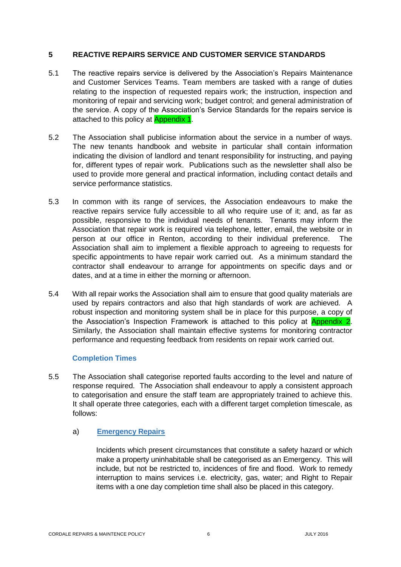#### **5 REACTIVE REPAIRS SERVICE AND CUSTOMER SERVICE STANDARDS**

- 5.1 The reactive repairs service is delivered by the Association's Repairs Maintenance and Customer Services Teams. Team members are tasked with a range of duties relating to the inspection of requested repairs work; the instruction, inspection and monitoring of repair and servicing work; budget control; and general administration of the service. A copy of the Association's Service Standards for the repairs service is attached to this policy at **Appendix 1.**
- 5.2 The Association shall publicise information about the service in a number of ways. The new tenants handbook and website in particular shall contain information indicating the division of landlord and tenant responsibility for instructing, and paying for, different types of repair work. Publications such as the newsletter shall also be used to provide more general and practical information, including contact details and service performance statistics.
- 5.3 In common with its range of services, the Association endeavours to make the reactive repairs service fully accessible to all who require use of it; and, as far as possible, responsive to the individual needs of tenants. Tenants may inform the Association that repair work is required via telephone, letter, email, the website or in person at our office in Renton, according to their individual preference. The Association shall aim to implement a flexible approach to agreeing to requests for specific appointments to have repair work carried out. As a minimum standard the contractor shall endeavour to arrange for appointments on specific days and or dates, and at a time in either the morning or afternoon.
- 5.4 With all repair works the Association shall aim to ensure that good quality materials are used by repairs contractors and also that high standards of work are achieved. A robust inspection and monitoring system shall be in place for this purpose, a copy of the Association's Inspection Framework is attached to this policy at Appendix 2. Similarly, the Association shall maintain effective systems for monitoring contractor performance and requesting feedback from residents on repair work carried out.

#### **Completion Times**

5.5 The Association shall categorise reported faults according to the level and nature of response required. The Association shall endeavour to apply a consistent approach to categorisation and ensure the staff team are appropriately trained to achieve this. It shall operate three categories, each with a different target completion timescale, as follows:

#### a) **Emergency Repairs**

Incidents which present circumstances that constitute a safety hazard or which make a property uninhabitable shall be categorised as an Emergency. This will include, but not be restricted to, incidences of fire and flood. Work to remedy interruption to mains services i.e. electricity, gas, water; and Right to Repair items with a one day completion time shall also be placed in this category.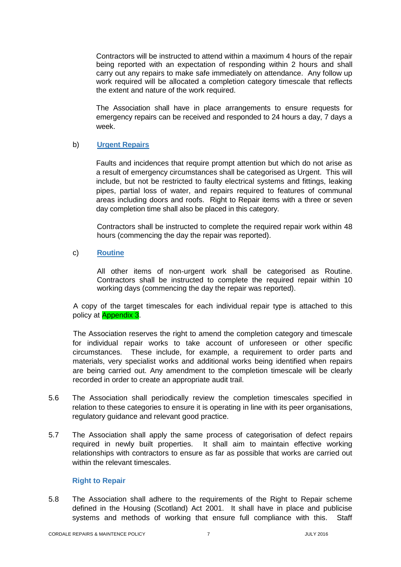Contractors will be instructed to attend within a maximum 4 hours of the repair being reported with an expectation of responding within 2 hours and shall carry out any repairs to make safe immediately on attendance. Any follow up work required will be allocated a completion category timescale that reflects the extent and nature of the work required.

The Association shall have in place arrangements to ensure requests for emergency repairs can be received and responded to 24 hours a day, 7 days a week.

# b) **Urgent Repairs**

Faults and incidences that require prompt attention but which do not arise as a result of emergency circumstances shall be categorised as Urgent. This will include, but not be restricted to faulty electrical systems and fittings, leaking pipes, partial loss of water, and repairs required to features of communal areas including doors and roofs. Right to Repair items with a three or seven day completion time shall also be placed in this category.

Contractors shall be instructed to complete the required repair work within 48 hours (commencing the day the repair was reported).

#### c) **Routine**

All other items of non-urgent work shall be categorised as Routine. Contractors shall be instructed to complete the required repair within 10 working days (commencing the day the repair was reported).

A copy of the target timescales for each individual repair type is attached to this policy at Appendix 3.

The Association reserves the right to amend the completion category and timescale for individual repair works to take account of unforeseen or other specific circumstances. These include, for example, a requirement to order parts and materials, very specialist works and additional works being identified when repairs are being carried out. Any amendment to the completion timescale will be clearly recorded in order to create an appropriate audit trail.

- 5.6 The Association shall periodically review the completion timescales specified in relation to these categories to ensure it is operating in line with its peer organisations, regulatory guidance and relevant good practice.
- 5.7 The Association shall apply the same process of categorisation of defect repairs required in newly built properties. It shall aim to maintain effective working relationships with contractors to ensure as far as possible that works are carried out within the relevant timescales.

## **Right to Repair**

5.8 The Association shall adhere to the requirements of the Right to Repair scheme defined in the Housing (Scotland) Act 2001. It shall have in place and publicise systems and methods of working that ensure full compliance with this. Staff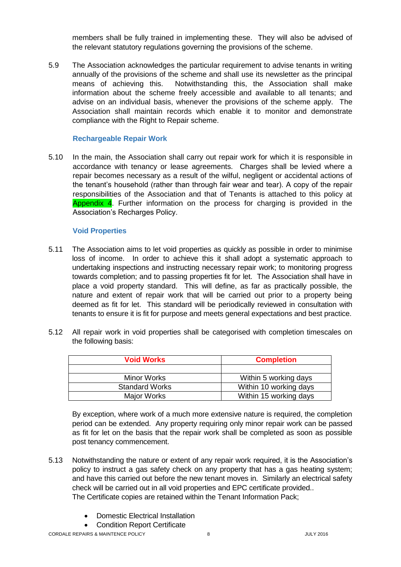members shall be fully trained in implementing these. They will also be advised of the relevant statutory regulations governing the provisions of the scheme.

5.9 The Association acknowledges the particular requirement to advise tenants in writing annually of the provisions of the scheme and shall use its newsletter as the principal means of achieving this. Notwithstanding this, the Association shall make information about the scheme freely accessible and available to all tenants; and advise on an individual basis, whenever the provisions of the scheme apply. The Association shall maintain records which enable it to monitor and demonstrate compliance with the Right to Repair scheme.

# **Rechargeable Repair Work**

5.10 In the main, the Association shall carry out repair work for which it is responsible in accordance with tenancy or lease agreements. Charges shall be levied where a repair becomes necessary as a result of the wilful, negligent or accidental actions of the tenant's household (rather than through fair wear and tear). A copy of the repair responsibilities of the Association and that of Tenants is attached to this policy at Appendix 4. Further information on the process for charging is provided in the Association's Recharges Policy.

# **Void Properties**

- 5.11 The Association aims to let void properties as quickly as possible in order to minimise loss of income. In order to achieve this it shall adopt a systematic approach to undertaking inspections and instructing necessary repair work; to monitoring progress towards completion; and to passing properties fit for let. The Association shall have in place a void property standard. This will define, as far as practically possible, the nature and extent of repair work that will be carried out prior to a property being deemed as fit for let. This standard will be periodically reviewed in consultation with tenants to ensure it is fit for purpose and meets general expectations and best practice.
- 5.12 All repair work in void properties shall be categorised with completion timescales on the following basis:

| <b>Void Works</b>     | <b>Completion</b>      |
|-----------------------|------------------------|
|                       |                        |
| <b>Minor Works</b>    | Within 5 working days  |
| <b>Standard Works</b> | Within 10 working days |
| Major Works           | Within 15 working days |

By exception, where work of a much more extensive nature is required, the completion period can be extended. Any property requiring only minor repair work can be passed as fit for let on the basis that the repair work shall be completed as soon as possible post tenancy commencement.

- 5.13 Notwithstanding the nature or extent of any repair work required, it is the Association's policy to instruct a gas safety check on any property that has a gas heating system; and have this carried out before the new tenant moves in. Similarly an electrical safety check will be carried out in all void properties and EPC certificate provided.. The Certificate copies are retained within the Tenant Information Pack;
	- Domestic Electrical Installation
	- Condition Report Certificate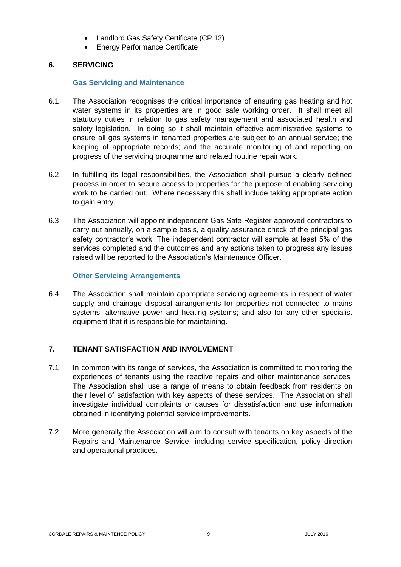- Landlord Gas Safety Certificate (CP 12)
- Energy Performance Certificate

# **6. SERVICING**

#### **Gas Servicing and Maintenance**

- 6.1 The Association recognises the critical importance of ensuring gas heating and hot water systems in its properties are in good safe working order. It shall meet all statutory duties in relation to gas safety management and associated health and safety legislation. In doing so it shall maintain effective administrative systems to ensure all gas systems in tenanted properties are subject to an annual service; the keeping of appropriate records; and the accurate monitoring of and reporting on progress of the servicing programme and related routine repair work.
- 6.2 In fulfilling its legal responsibilities, the Association shall pursue a clearly defined process in order to secure access to properties for the purpose of enabling servicing work to be carried out. Where necessary this shall include taking appropriate action to gain entry.
- 6.3 The Association will appoint independent Gas Safe Register approved contractors to carry out annually, on a sample basis, a quality assurance check of the principal gas safety contractor's work. The independent contractor will sample at least 5% of the services completed and the outcomes and any actions taken to progress any issues raised will be reported to the Association's Maintenance Officer.

# **Other Servicing Arrangements**

6.4 The Association shall maintain appropriate servicing agreements in respect of water supply and drainage disposal arrangements for properties not connected to mains systems; alternative power and heating systems; and also for any other specialist equipment that it is responsible for maintaining.

# **7. TENANT SATISFACTION AND INVOLVEMENT**

- 7.1 In common with its range of services, the Association is committed to monitoring the experiences of tenants using the reactive repairs and other maintenance services. The Association shall use a range of means to obtain feedback from residents on their level of satisfaction with key aspects of these services. The Association shall investigate individual complaints or causes for dissatisfaction and use information obtained in identifying potential service improvements.
- 7.2 More generally the Association will aim to consult with tenants on key aspects of the Repairs and Maintenance Service, including service specification, policy direction and operational practices.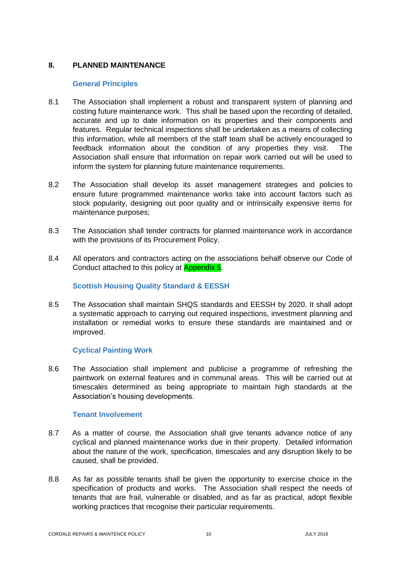# **8. PLANNED MAINTENANCE**

#### **General Principles**

- 8.1 The Association shall implement a robust and transparent system of planning and costing future maintenance work. This shall be based upon the recording of detailed, accurate and up to date information on its properties and their components and features. Regular technical inspections shall be undertaken as a means of collecting this information, while all members of the staff team shall be actively encouraged to feedback information about the condition of any properties they visit. The Association shall ensure that information on repair work carried out will be used to inform the system for planning future maintenance requirements.
- 8.2 The Association shall develop its asset management strategies and policies to ensure future programmed maintenance works take into account factors such as stock popularity, designing out poor quality and or intrinsically expensive items for maintenance purposes;
- 8.3 The Association shall tender contracts for planned maintenance work in accordance with the provisions of its Procurement Policy.
- 8.4 All operators and contractors acting on the associations behalf observe our Code of Conduct attached to this policy at Appendix 5.

## **Scottish Housing Quality Standard & EESSH**

8.5 The Association shall maintain SHQS standards and EESSH by 2020. It shall adopt a systematic approach to carrying out required inspections, investment planning and installation or remedial works to ensure these standards are maintained and or improved.

# **Cyclical Painting Work**

8.6 The Association shall implement and publicise a programme of refreshing the paintwork on external features and in communal areas. This will be carried out at timescales determined as being appropriate to maintain high standards at the Association's housing developments.

#### **Tenant Involvement**

- 8.7 As a matter of course, the Association shall give tenants advance notice of any cyclical and planned maintenance works due in their property. Detailed information about the nature of the work, specification, timescales and any disruption likely to be caused, shall be provided.
- 8.8 As far as possible tenants shall be given the opportunity to exercise choice in the specification of products and works. The Association shall respect the needs of tenants that are frail, vulnerable or disabled, and as far as practical, adopt flexible working practices that recognise their particular requirements.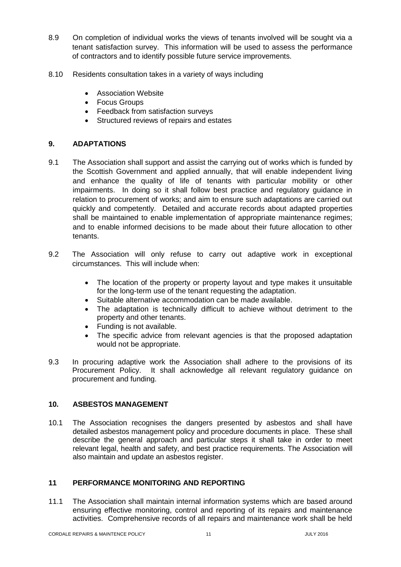- 8.9 On completion of individual works the views of tenants involved will be sought via a tenant satisfaction survey. This information will be used to assess the performance of contractors and to identify possible future service improvements.
- 8.10 Residents consultation takes in a variety of ways including
	- **•** Association Website
	- Focus Groups
	- Feedback from satisfaction surveys
	- Structured reviews of repairs and estates

#### **9. ADAPTATIONS**

- 9.1 The Association shall support and assist the carrying out of works which is funded by the Scottish Government and applied annually, that will enable independent living and enhance the quality of life of tenants with particular mobility or other impairments. In doing so it shall follow best practice and regulatory guidance in relation to procurement of works; and aim to ensure such adaptations are carried out quickly and competently. Detailed and accurate records about adapted properties shall be maintained to enable implementation of appropriate maintenance regimes; and to enable informed decisions to be made about their future allocation to other tenants.
- 9.2 The Association will only refuse to carry out adaptive work in exceptional circumstances. This will include when:
	- The location of the property or property layout and type makes it unsuitable for the long-term use of the tenant requesting the adaptation.
	- Suitable alternative accommodation can be made available.
	- The adaptation is technically difficult to achieve without detriment to the property and other tenants.
	- Funding is not available.
	- The specific advice from relevant agencies is that the proposed adaptation would not be appropriate.
- 9.3 In procuring adaptive work the Association shall adhere to the provisions of its Procurement Policy. It shall acknowledge all relevant regulatory guidance on procurement and funding.

#### **10. ASBESTOS MANAGEMENT**

10.1 The Association recognises the dangers presented by asbestos and shall have detailed asbestos management policy and procedure documents in place. These shall describe the general approach and particular steps it shall take in order to meet relevant legal, health and safety, and best practice requirements. The Association will also maintain and update an asbestos register.

#### **11 PERFORMANCE MONITORING AND REPORTING**

11.1 The Association shall maintain internal information systems which are based around ensuring effective monitoring, control and reporting of its repairs and maintenance activities. Comprehensive records of all repairs and maintenance work shall be held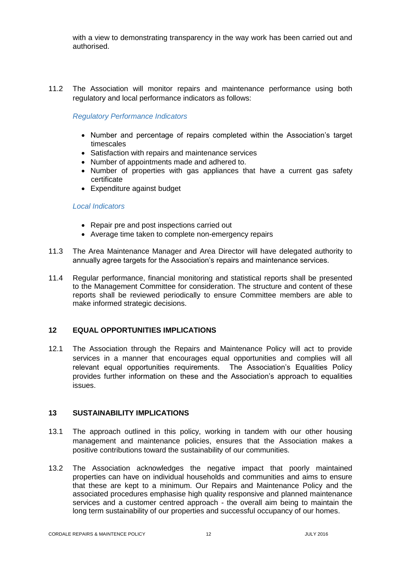with a view to demonstrating transparency in the way work has been carried out and authorised.

11.2 The Association will monitor repairs and maintenance performance using both regulatory and local performance indicators as follows:

#### *Regulatory Performance Indicators*

- Number and percentage of repairs completed within the Association's target timescales
- Satisfaction with repairs and maintenance services
- Number of appointments made and adhered to.
- Number of properties with gas appliances that have a current gas safety certificate
- Expenditure against budget

#### *Local Indicators*

- Repair pre and post inspections carried out
- Average time taken to complete non-emergency repairs
- 11.3 The Area Maintenance Manager and Area Director will have delegated authority to annually agree targets for the Association's repairs and maintenance services.
- 11.4 Regular performance, financial monitoring and statistical reports shall be presented to the Management Committee for consideration. The structure and content of these reports shall be reviewed periodically to ensure Committee members are able to make informed strategic decisions.

#### **12 EQUAL OPPORTUNITIES IMPLICATIONS**

12.1 The Association through the Repairs and Maintenance Policy will act to provide services in a manner that encourages equal opportunities and complies will all relevant equal opportunities requirements. The Association's Equalities Policy provides further information on these and the Association's approach to equalities issues.

#### **13 SUSTAINABILITY IMPLICATIONS**

- 13.1 The approach outlined in this policy, working in tandem with our other housing management and maintenance policies, ensures that the Association makes a positive contributions toward the sustainability of our communities.
- 13.2 The Association acknowledges the negative impact that poorly maintained properties can have on individual households and communities and aims to ensure that these are kept to a minimum. Our Repairs and Maintenance Policy and the associated procedures emphasise high quality responsive and planned maintenance services and a customer centred approach - the overall aim being to maintain the long term sustainability of our properties and successful occupancy of our homes.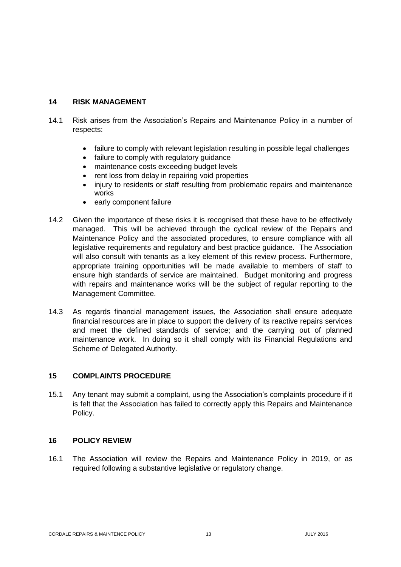## **14 RISK MANAGEMENT**

- 14.1 Risk arises from the Association's Repairs and Maintenance Policy in a number of respects:
	- failure to comply with relevant legislation resulting in possible legal challenges
	- failure to comply with regulatory guidance
	- maintenance costs exceeding budget levels
	- rent loss from delay in repairing void properties
	- injury to residents or staff resulting from problematic repairs and maintenance works
	- early component failure
- 14.2 Given the importance of these risks it is recognised that these have to be effectively managed. This will be achieved through the cyclical review of the Repairs and Maintenance Policy and the associated procedures, to ensure compliance with all legislative requirements and regulatory and best practice guidance. The Association will also consult with tenants as a key element of this review process. Furthermore, appropriate training opportunities will be made available to members of staff to ensure high standards of service are maintained. Budget monitoring and progress with repairs and maintenance works will be the subject of regular reporting to the Management Committee.
- 14.3 As regards financial management issues, the Association shall ensure adequate financial resources are in place to support the delivery of its reactive repairs services and meet the defined standards of service; and the carrying out of planned maintenance work. In doing so it shall comply with its Financial Regulations and Scheme of Delegated Authority.

#### **15 COMPLAINTS PROCEDURE**

15.1 Any tenant may submit a complaint, using the Association's complaints procedure if it is felt that the Association has failed to correctly apply this Repairs and Maintenance Policy.

#### **16 POLICY REVIEW**

16.1 The Association will review the Repairs and Maintenance Policy in 2019, or as required following a substantive legislative or regulatory change.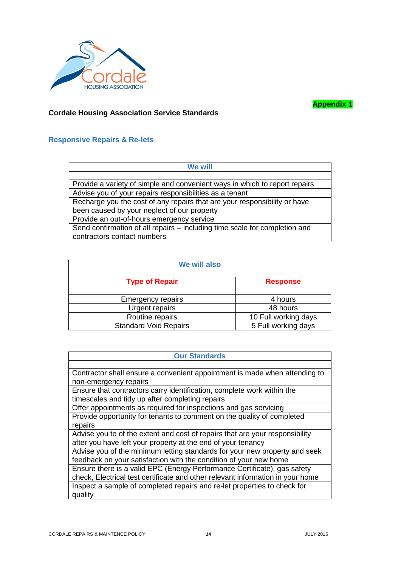

**Appendix 1**

## **Cordale Housing Association Service Standards**

#### **Responsive Repairs & Re-lets**

| We will                                                                    |  |  |
|----------------------------------------------------------------------------|--|--|
|                                                                            |  |  |
| Provide a variety of simple and convenient ways in which to report repairs |  |  |
| Advise you of your repairs responsibilities as a tenant                    |  |  |
| Recharge you the cost of any repairs that are your responsibility or have  |  |  |
| been caused by your neglect of our property                                |  |  |
| Provide an out-of-hours emergency service                                  |  |  |
| Send confirmation of all repairs – including time scale for completion and |  |  |
| contractors contact numbers                                                |  |  |

| We will also                 |                      |  |
|------------------------------|----------------------|--|
| <b>Type of Repair</b>        | <b>Response</b>      |  |
| <b>Emergency repairs</b>     | 4 hours              |  |
| Urgent repairs               | 48 hours             |  |
| Routine repairs              | 10 Full working days |  |
| <b>Standard Void Repairs</b> | 5 Full working days  |  |

| <b>Our Standards</b> |  |
|----------------------|--|
|                      |  |

Contractor shall ensure a convenient appointment is made when attending to non-emergency repairs

Ensure that contractors carry identification, complete work within the timescales and tidy up after completing repairs

Offer appointments as required for inspections and gas servicing Provide opportunity for tenants to comment on the quality of completed repairs

Advise you to of the extent and cost of repairs that are your responsibility after you have left your property at the end of your tenancy

Advise you of the minimum letting standards for your new property and seek feedback on your satisfaction with the condition of your new home Ensure there is a valid EPC (Energy Performance Certificate), gas safety check, Electrical test certificate and other relevant information in your home Inspect a sample of completed repairs and re-let properties to check for quality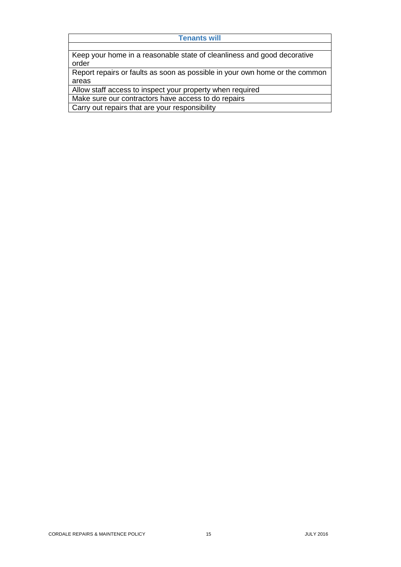#### **Tenants will**

Keep your home in a reasonable state of cleanliness and good decorative order

Report repairs or faults as soon as possible in your own home or the common areas

Allow staff access to inspect your property when required

Make sure our contractors have access to do repairs

Carry out repairs that are your responsibility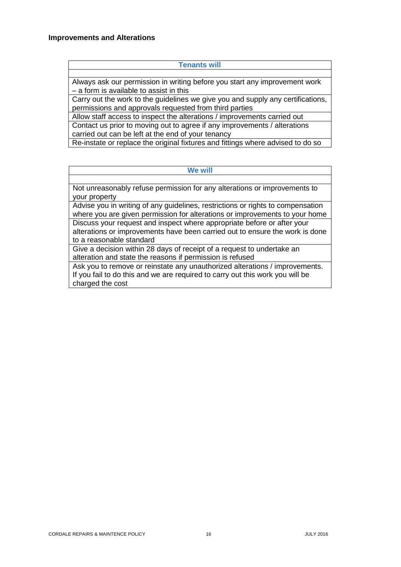#### **Improvements and Alterations**

#### **Tenants will**

Always ask our permission in writing before you start any improvement work – a form is available to assist in this

Carry out the work to the guidelines we give you and supply any certifications, permissions and approvals requested from third parties

Allow staff access to inspect the alterations / improvements carried out Contact us prior to moving out to agree if any improvements / alterations

carried out can be left at the end of your tenancy

Re-instate or replace the original fixtures and fittings where advised to do so

#### **We will**

Not unreasonably refuse permission for any alterations or improvements to your property

Advise you in writing of any guidelines, restrictions or rights to compensation where you are given permission for alterations or improvements to your home Discuss your request and inspect where appropriate before or after your alterations or improvements have been carried out to ensure the work is done to a reasonable standard

Give a decision within 28 days of receipt of a request to undertake an alteration and state the reasons if permission is refused

Ask you to remove or reinstate any unauthorized alterations / improvements. If you fail to do this and we are required to carry out this work you will be charged the cost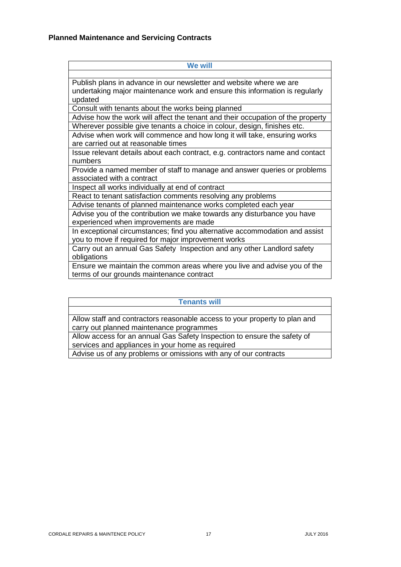| We will                                                                         |
|---------------------------------------------------------------------------------|
|                                                                                 |
| Publish plans in advance in our newsletter and website where we are             |
| undertaking major maintenance work and ensure this information is regularly     |
| updated                                                                         |
| Consult with tenants about the works being planned                              |
| Advise how the work will affect the tenant and their occupation of the property |
| Wherever possible give tenants a choice in colour, design, finishes etc.        |
| Advise when work will commence and how long it will take, ensuring works        |
| are carried out at reasonable times                                             |
| Issue relevant details about each contract, e.g. contractors name and contact   |
| numbers                                                                         |
| Provide a named member of staff to manage and answer queries or problems        |
| associated with a contract                                                      |
| Inspect all works individually at end of contract                               |
| React to tenant satisfaction comments resolving any problems                    |
| Advise tenants of planned maintenance works completed each year                 |
| Advise you of the contribution we make towards any disturbance you have         |
| experienced when improvements are made                                          |
| In exceptional circumstances; find you alternative accommodation and assist     |
| you to move if required for major improvement works                             |
| Carry out an annual Gas Safety Inspection and any other Landlord safety         |
| obligations                                                                     |
| Ensure we maintain the common areas where you live and advise you of the        |
| terms of our grounds maintenance contract                                       |

**Tenants will** Allow staff and contractors reasonable access to your property to plan and carry out planned maintenance programmes Allow access for an annual Gas Safety Inspection to ensure the safety of services and appliances in your home as required Advise us of any problems or omissions with any of our contracts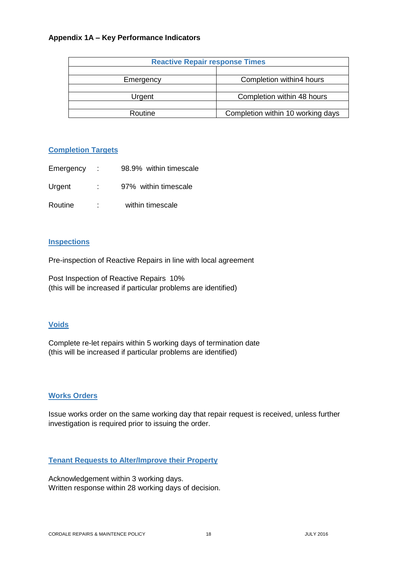#### **Appendix 1A – Key Performance Indicators**

| <b>Reactive Repair response Times</b> |                                   |  |
|---------------------------------------|-----------------------------------|--|
|                                       |                                   |  |
| Emergency                             | Completion within4 hours          |  |
|                                       |                                   |  |
| Urgent                                | Completion within 48 hours        |  |
|                                       |                                   |  |
| Routine                               | Completion within 10 working days |  |

#### **Completion Targets**

| Emergency | n Do | 98.9% within timescale |
|-----------|------|------------------------|
| Urgent    |      | 97% within timescale   |
| Routine   | ۰.   | within timescale       |

#### **Inspections**

Pre-inspection of Reactive Repairs in line with local agreement

Post Inspection of Reactive Repairs 10% (this will be increased if particular problems are identified)

# **Voids**

Complete re-let repairs within 5 working days of termination date (this will be increased if particular problems are identified)

#### **Works Orders**

Issue works order on the same working day that repair request is received, unless further investigation is required prior to issuing the order.

## **Tenant Requests to Alter/Improve their Property**

Acknowledgement within 3 working days. Written response within 28 working days of decision.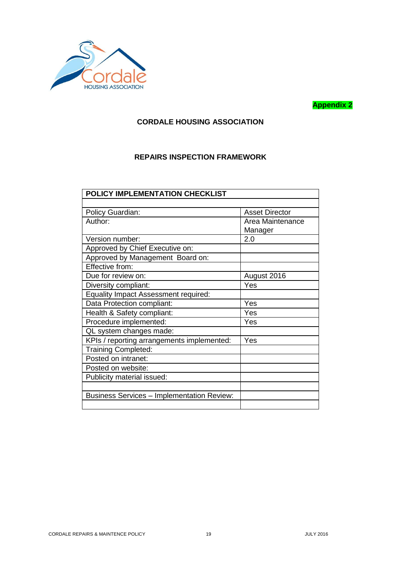

# **Appendix 2**

# **CORDALE HOUSING ASSOCIATION**

# **REPAIRS INSPECTION FRAMEWORK**

| POLICY IMPLEMENTATION CHECKLIST                   |                             |  |
|---------------------------------------------------|-----------------------------|--|
|                                                   |                             |  |
| Policy Guardian:                                  | <b>Asset Director</b>       |  |
| Author:                                           | Area Maintenance<br>Manager |  |
| Version number:                                   | 2.0                         |  |
| Approved by Chief Executive on:                   |                             |  |
| Approved by Management Board on:                  |                             |  |
| Effective from:                                   |                             |  |
| Due for review on:                                | August 2016                 |  |
| Diversity compliant:                              | Yes                         |  |
| <b>Equality Impact Assessment required:</b>       |                             |  |
| Data Protection compliant:                        | Yes                         |  |
| Health & Safety compliant:                        | Yes                         |  |
| Procedure implemented:                            | Yes                         |  |
| QL system changes made:                           |                             |  |
| KPIs / reporting arrangements implemented:        | Yes                         |  |
| <b>Training Completed:</b>                        |                             |  |
| Posted on intranet:                               |                             |  |
| Posted on website:                                |                             |  |
| Publicity material issued:                        |                             |  |
|                                                   |                             |  |
| <b>Business Services - Implementation Review:</b> |                             |  |
|                                                   |                             |  |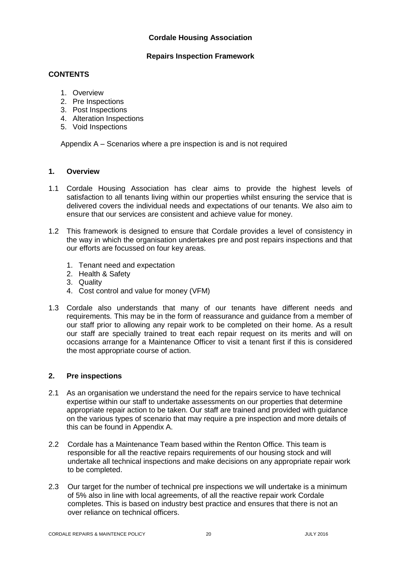# **Cordale Housing Association**

#### **Repairs Inspection Framework**

## **CONTENTS**

- 1. Overview
- 2. Pre Inspections
- 3. Post Inspections
- 4. Alteration Inspections
- 5. Void Inspections

Appendix A – Scenarios where a pre inspection is and is not required

#### **1. Overview**

- 1.1 Cordale Housing Association has clear aims to provide the highest levels of satisfaction to all tenants living within our properties whilst ensuring the service that is delivered covers the individual needs and expectations of our tenants. We also aim to ensure that our services are consistent and achieve value for money.
- 1.2 This framework is designed to ensure that Cordale provides a level of consistency in the way in which the organisation undertakes pre and post repairs inspections and that our efforts are focussed on four key areas.
	- 1. Tenant need and expectation
	- 2. Health & Safety
	- 3. Quality
	- 4. Cost control and value for money (VFM)
- 1.3 Cordale also understands that many of our tenants have different needs and requirements. This may be in the form of reassurance and guidance from a member of our staff prior to allowing any repair work to be completed on their home. As a result our staff are specially trained to treat each repair request on its merits and will on occasions arrange for a Maintenance Officer to visit a tenant first if this is considered the most appropriate course of action.

#### **2. Pre inspections**

- 2.1 As an organisation we understand the need for the repairs service to have technical expertise within our staff to undertake assessments on our properties that determine appropriate repair action to be taken. Our staff are trained and provided with guidance on the various types of scenario that may require a pre inspection and more details of this can be found in Appendix A.
- 2.2 Cordale has a Maintenance Team based within the Renton Office. This team is responsible for all the reactive repairs requirements of our housing stock and will undertake all technical inspections and make decisions on any appropriate repair work to be completed.
- 2.3 Our target for the number of technical pre inspections we will undertake is a minimum of 5% also in line with local agreements, of all the reactive repair work Cordale completes. This is based on industry best practice and ensures that there is not an over reliance on technical officers.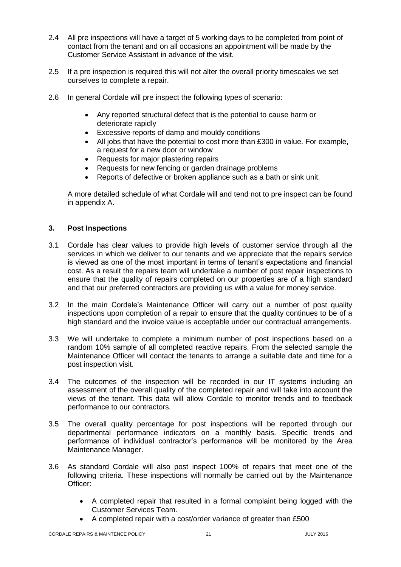- 2.4 All pre inspections will have a target of 5 working days to be completed from point of contact from the tenant and on all occasions an appointment will be made by the Customer Service Assistant in advance of the visit.
- 2.5 If a pre inspection is required this will not alter the overall priority timescales we set ourselves to complete a repair.
- 2.6 In general Cordale will pre inspect the following types of scenario:
	- Any reported structural defect that is the potential to cause harm or deteriorate rapidly
	- Excessive reports of damp and mouldy conditions
	- All jobs that have the potential to cost more than £300 in value. For example, a request for a new door or window
	- Requests for major plastering repairs
	- Requests for new fencing or garden drainage problems
	- Reports of defective or broken appliance such as a bath or sink unit.

A more detailed schedule of what Cordale will and tend not to pre inspect can be found in appendix A.

#### **3. Post Inspections**

- 3.1 Cordale has clear values to provide high levels of customer service through all the services in which we deliver to our tenants and we appreciate that the repairs service is viewed as one of the most important in terms of tenant's expectations and financial cost. As a result the repairs team will undertake a number of post repair inspections to ensure that the quality of repairs completed on our properties are of a high standard and that our preferred contractors are providing us with a value for money service.
- 3.2 In the main Cordale's Maintenance Officer will carry out a number of post quality inspections upon completion of a repair to ensure that the quality continues to be of a high standard and the invoice value is acceptable under our contractual arrangements.
- 3.3 We will undertake to complete a minimum number of post inspections based on a random 10% sample of all completed reactive repairs. From the selected sample the Maintenance Officer will contact the tenants to arrange a suitable date and time for a post inspection visit.
- 3.4 The outcomes of the inspection will be recorded in our IT systems including an assessment of the overall quality of the completed repair and will take into account the views of the tenant. This data will allow Cordale to monitor trends and to feedback performance to our contractors.
- 3.5 The overall quality percentage for post inspections will be reported through our departmental performance indicators on a monthly basis. Specific trends and performance of individual contractor's performance will be monitored by the Area Maintenance Manager.
- 3.6 As standard Cordale will also post inspect 100% of repairs that meet one of the following criteria. These inspections will normally be carried out by the Maintenance Officer:
	- A completed repair that resulted in a formal complaint being logged with the Customer Services Team.
	- A completed repair with a cost/order variance of greater than £500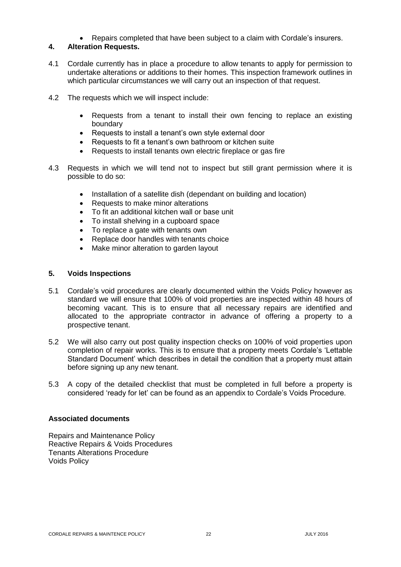Repairs completed that have been subject to a claim with Cordale's insurers.

# **4. Alteration Requests.**

- 4.1 Cordale currently has in place a procedure to allow tenants to apply for permission to undertake alterations or additions to their homes. This inspection framework outlines in which particular circumstances we will carry out an inspection of that request.
- 4.2 The requests which we will inspect include:
	- Requests from a tenant to install their own fencing to replace an existing boundary
	- Requests to install a tenant's own style external door
	- Requests to fit a tenant's own bathroom or kitchen suite
	- Requests to install tenants own electric fireplace or gas fire
- 4.3 Requests in which we will tend not to inspect but still grant permission where it is possible to do so:
	- Installation of a satellite dish (dependant on building and location)
	- Requests to make minor alterations
	- To fit an additional kitchen wall or base unit
	- To install shelving in a cupboard space
	- To replace a gate with tenants own
	- Replace door handles with tenants choice
	- Make minor alteration to garden layout

#### **5. Voids Inspections**

- 5.1 Cordale's void procedures are clearly documented within the Voids Policy however as standard we will ensure that 100% of void properties are inspected within 48 hours of becoming vacant. This is to ensure that all necessary repairs are identified and allocated to the appropriate contractor in advance of offering a property to a prospective tenant.
- 5.2 We will also carry out post quality inspection checks on 100% of void properties upon completion of repair works. This is to ensure that a property meets Cordale's 'Lettable Standard Document' which describes in detail the condition that a property must attain before signing up any new tenant.
- 5.3 A copy of the detailed checklist that must be completed in full before a property is considered 'ready for let' can be found as an appendix to Cordale's Voids Procedure.

#### **Associated documents**

Repairs and Maintenance Policy Reactive Repairs & Voids Procedures Tenants Alterations Procedure Voids Policy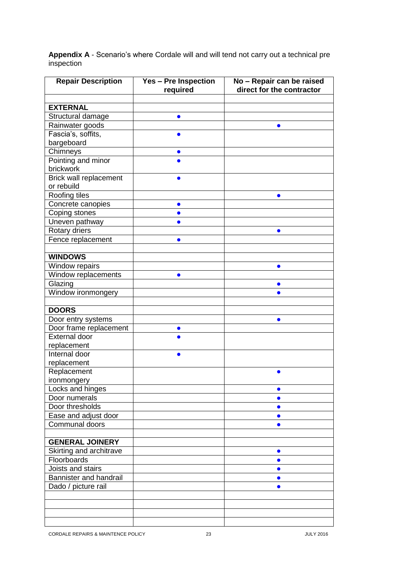**Appendix A** - Scenario's where Cordale will and will tend not carry out a technical pre inspection

| <b>Repair Description</b>                      | <b>Yes - Pre Inspection</b> | No - Repair can be raised |
|------------------------------------------------|-----------------------------|---------------------------|
|                                                | required                    | direct for the contractor |
|                                                |                             |                           |
| <b>EXTERNAL</b>                                |                             |                           |
| Structural damage                              |                             |                           |
| Rainwater goods                                |                             |                           |
| Fascia's, soffits,                             | $\bullet$                   |                           |
| bargeboard                                     |                             |                           |
| Chimneys                                       | $\bullet$                   |                           |
| Pointing and minor                             |                             |                           |
| brickwork                                      |                             |                           |
| Brick wall replacement                         |                             |                           |
| or rebuild                                     |                             |                           |
| Roofing tiles                                  |                             | $\bullet$                 |
| Concrete canopies                              | $\bullet$                   |                           |
| Coping stones                                  | $\bullet$                   |                           |
| Uneven pathway                                 |                             |                           |
| Rotary driers                                  |                             | $\bullet$                 |
| Fence replacement                              | $\bullet$                   |                           |
|                                                |                             |                           |
| <b>WINDOWS</b>                                 |                             |                           |
| Window repairs                                 |                             | $\bullet$                 |
| Window replacements                            |                             |                           |
| Glazing                                        |                             | $\bullet$                 |
| Window ironmongery                             |                             | $\bullet$                 |
| <b>DOORS</b>                                   |                             |                           |
|                                                |                             |                           |
| Door entry systems                             |                             | $\bullet$                 |
| Door frame replacement<br><b>External door</b> | $\bullet$                   |                           |
| replacement                                    |                             |                           |
| Internal door                                  |                             |                           |
| replacement                                    |                             |                           |
| Replacement                                    |                             | O                         |
| ironmongery                                    |                             |                           |
| Locks and hinges                               |                             | $\bullet$                 |
| Door numerals                                  |                             | $\bullet$                 |
| Door thresholds                                |                             | $\bullet$                 |
| Ease and adjust door                           |                             | $\bullet$                 |
| Communal doors                                 |                             |                           |
|                                                |                             |                           |
| <b>GENERAL JOINERY</b>                         |                             |                           |
| Skirting and architrave                        |                             | $\bullet$                 |
| Floorboards                                    |                             | $\bullet$                 |
| Joists and stairs                              |                             |                           |
| Bannister and handrail                         |                             | $\bullet$                 |
| Dado / picture rail                            |                             | $\bullet$                 |
|                                                |                             |                           |
|                                                |                             |                           |
|                                                |                             |                           |
|                                                |                             |                           |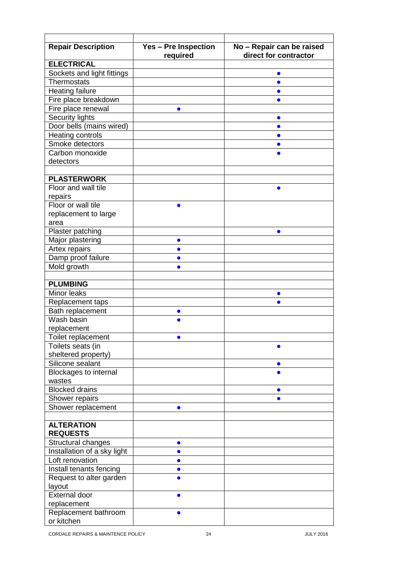| <b>Repair Description</b>    | <b>Yes - Pre Inspection</b><br>required | No - Repair can be raised<br>direct for contractor |
|------------------------------|-----------------------------------------|----------------------------------------------------|
| <b>ELECTRICAL</b>            |                                         |                                                    |
| Sockets and light fittings   |                                         |                                                    |
| <b>Thermostats</b>           |                                         |                                                    |
| <b>Heating failure</b>       |                                         |                                                    |
| Fire place breakdown         |                                         |                                                    |
| Fire place renewal           | $\bullet$                               |                                                    |
| Security lights              |                                         |                                                    |
| Door bells (mains wired)     |                                         |                                                    |
| Heating controls             |                                         |                                                    |
| Smoke detectors              |                                         |                                                    |
| Carbon monoxide              |                                         |                                                    |
| detectors                    |                                         |                                                    |
|                              |                                         |                                                    |
| <b>PLASTERWORK</b>           |                                         |                                                    |
| Floor and wall tile          |                                         |                                                    |
| repairs                      |                                         |                                                    |
| Floor or wall tile           |                                         |                                                    |
| replacement to large         |                                         |                                                    |
| area                         |                                         |                                                    |
| Plaster patching             |                                         |                                                    |
| Major plastering             | $\bullet$                               |                                                    |
| Artex repairs                |                                         |                                                    |
| Damp proof failure           | $\bullet$                               |                                                    |
| Mold growth                  | $\bullet$                               |                                                    |
|                              |                                         |                                                    |
| <b>PLUMBING</b>              |                                         |                                                    |
| Minor leaks                  |                                         |                                                    |
| Replacement taps             |                                         |                                                    |
| Bath replacement             | $\bullet$                               |                                                    |
| Wash basin                   |                                         |                                                    |
| replacement                  |                                         |                                                    |
| Toilet replacement           |                                         |                                                    |
| Toilets seats (in            |                                         |                                                    |
| sheltered property)          |                                         |                                                    |
| Silicone sealant             |                                         |                                                    |
| <b>Blockages to internal</b> |                                         |                                                    |
| wastes                       |                                         |                                                    |
| <b>Blocked drains</b>        |                                         |                                                    |
| Shower repairs               |                                         |                                                    |
| Shower replacement           |                                         |                                                    |
|                              |                                         |                                                    |
| <b>ALTERATION</b>            |                                         |                                                    |
| <b>REQUESTS</b>              |                                         |                                                    |
| Structural changes           | $\bullet$                               |                                                    |
| Installation of a sky light  | $\bullet$                               |                                                    |
| Loft renovation              |                                         |                                                    |
| Install tenants fencing      |                                         |                                                    |
| Request to alter garden      |                                         |                                                    |
| layout                       |                                         |                                                    |
| <b>External door</b>         |                                         |                                                    |
| replacement                  |                                         |                                                    |
| Replacement bathroom         |                                         |                                                    |
| or kitchen                   |                                         |                                                    |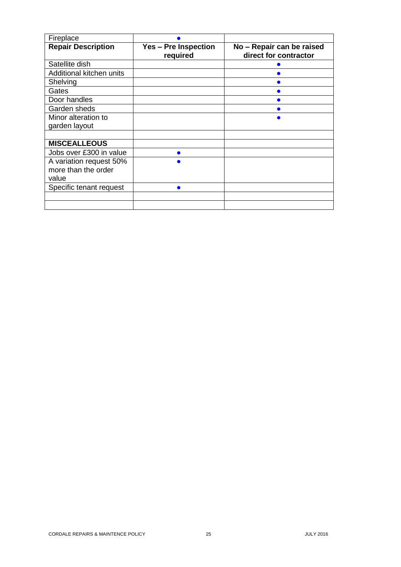| Fireplace                 |                                         |                                                    |
|---------------------------|-----------------------------------------|----------------------------------------------------|
| <b>Repair Description</b> | <b>Yes - Pre Inspection</b><br>required | No - Repair can be raised<br>direct for contractor |
| Satellite dish            |                                         |                                                    |
| Additional kitchen units  |                                         |                                                    |
| Shelving                  |                                         |                                                    |
| Gates                     |                                         |                                                    |
| Door handles              |                                         |                                                    |
| Garden sheds              |                                         |                                                    |
| Minor alteration to       |                                         |                                                    |
| garden layout             |                                         |                                                    |
|                           |                                         |                                                    |
| <b>MISCEALLEOUS</b>       |                                         |                                                    |
| Jobs over £300 in value   |                                         |                                                    |
| A variation request 50%   |                                         |                                                    |
| more than the order       |                                         |                                                    |
| value                     |                                         |                                                    |
| Specific tenant request   |                                         |                                                    |
|                           |                                         |                                                    |
|                           |                                         |                                                    |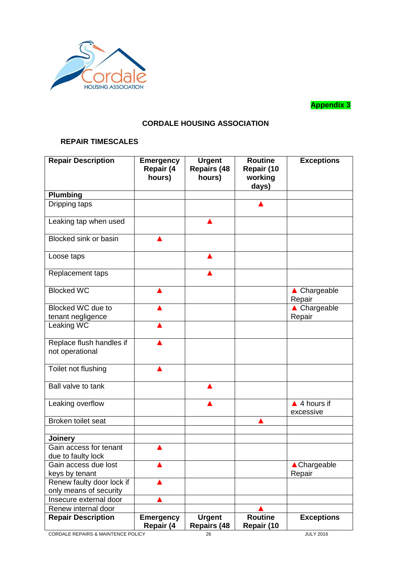

**Appendix 3**

# **CORDALE HOUSING ASSOCIATION**

# **REPAIR TIMESCALES**

| <b>Repair Description</b>                    | <b>Emergency</b><br>Repair (4<br>hours) | <b>Urgent</b><br><b>Repairs (48</b><br>hours) | <b>Routine</b><br>Repair (10<br>working<br>days) | <b>Exceptions</b>                   |
|----------------------------------------------|-----------------------------------------|-----------------------------------------------|--------------------------------------------------|-------------------------------------|
| Plumbing                                     |                                         |                                               |                                                  |                                     |
| Dripping taps                                |                                         |                                               |                                                  |                                     |
| Leaking tap when used                        |                                         |                                               |                                                  |                                     |
| <b>Blocked sink or basin</b>                 |                                         |                                               |                                                  |                                     |
| Loose taps                                   |                                         |                                               |                                                  |                                     |
| Replacement taps                             |                                         |                                               |                                                  |                                     |
| <b>Blocked WC</b>                            |                                         |                                               |                                                  | ▲ Chargeable<br>Repair              |
| Blocked WC due to                            |                                         |                                               |                                                  | ▲ Chargeable                        |
| tenant negligence                            |                                         |                                               |                                                  | Repair                              |
| Leaking WC                                   |                                         |                                               |                                                  |                                     |
| Replace flush handles if<br>not operational  |                                         |                                               |                                                  |                                     |
| Toilet not flushing                          |                                         |                                               |                                                  |                                     |
| Ball valve to tank                           |                                         |                                               |                                                  |                                     |
| Leaking overflow                             |                                         |                                               |                                                  | $\triangle$ 4 hours if<br>excessive |
| Broken toilet seat                           |                                         |                                               |                                                  |                                     |
|                                              |                                         |                                               |                                                  |                                     |
| Joinery                                      |                                         |                                               |                                                  |                                     |
| Gain access for tenant<br>due to faulty lock |                                         |                                               |                                                  |                                     |
| Gain access due lost                         |                                         |                                               |                                                  | <b>▲ Chargeable</b>                 |
| keys by tenant                               |                                         |                                               |                                                  | Repair                              |
| Renew faulty door lock if                    |                                         |                                               |                                                  |                                     |
| only means of security                       |                                         |                                               |                                                  |                                     |
| Insecure external door                       |                                         |                                               |                                                  |                                     |
| Renew internal door                          |                                         |                                               |                                                  |                                     |
| <b>Repair Description</b>                    | <b>Emergency</b><br>Repair (4           | <b>Urgent</b><br><b>Repairs (48</b>           | <b>Routine</b><br>Repair (10                     | <b>Exceptions</b>                   |

CORDALE REPAIRS & MAINTENCE POLICY 26 26 JULY 2016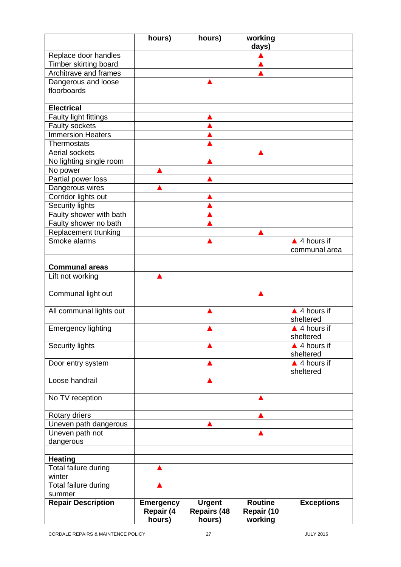|                                                | hours)           | hours)             | working        |                        |
|------------------------------------------------|------------------|--------------------|----------------|------------------------|
|                                                |                  |                    | days)          |                        |
| Replace door handles                           |                  |                    |                |                        |
| Timber skirting board<br>Architrave and frames |                  |                    |                |                        |
| Dangerous and loose                            |                  |                    |                |                        |
| floorboards                                    |                  |                    |                |                        |
|                                                |                  |                    |                |                        |
| <b>Electrical</b>                              |                  |                    |                |                        |
| <b>Faulty light fittings</b>                   |                  |                    |                |                        |
| Faulty sockets                                 |                  |                    |                |                        |
| <b>Immersion Heaters</b>                       |                  |                    |                |                        |
| <b>Thermostats</b>                             |                  |                    |                |                        |
| Aerial sockets                                 |                  |                    |                |                        |
| No lighting single room                        |                  |                    |                |                        |
| No power                                       |                  |                    |                |                        |
| Partial power loss                             |                  |                    |                |                        |
| Dangerous wires                                |                  |                    |                |                        |
| Corridor lights out                            |                  |                    |                |                        |
| <b>Security lights</b>                         |                  |                    |                |                        |
| Faulty shower with bath                        |                  |                    |                |                        |
| Faulty shower no bath                          |                  |                    |                |                        |
| Replacement trunking                           |                  |                    |                |                        |
| Smoke alarms                                   |                  |                    |                | $\triangle$ 4 hours if |
|                                                |                  |                    |                | communal area          |
|                                                |                  |                    |                |                        |
| <b>Communal areas</b>                          |                  |                    |                |                        |
| Lift not working                               |                  |                    |                |                        |
| Communal light out                             |                  |                    |                |                        |
|                                                |                  |                    |                |                        |
| All communal lights out                        |                  |                    |                | $\triangle$ 4 hours if |
|                                                |                  |                    |                | sheltered              |
| <b>Emergency lighting</b>                      |                  |                    |                | $\triangle$ 4 hours if |
|                                                |                  |                    |                | sheltered              |
| <b>Security lights</b>                         |                  |                    |                | $\triangle$ 4 hours if |
|                                                |                  |                    |                | sheltered              |
| Door entry system                              |                  |                    |                | $\triangle$ 4 hours if |
|                                                |                  |                    |                | sheltered              |
| Loose handrail                                 |                  |                    |                |                        |
| No TV reception                                |                  |                    |                |                        |
|                                                |                  |                    |                |                        |
| Rotary driers                                  |                  |                    |                |                        |
| Uneven path dangerous                          |                  |                    |                |                        |
| Uneven path not                                |                  |                    |                |                        |
| dangerous                                      |                  |                    |                |                        |
| <b>Heating</b>                                 |                  |                    |                |                        |
| Total failure during                           |                  |                    |                |                        |
| winter                                         |                  |                    |                |                        |
| Total failure during                           |                  |                    |                |                        |
| summer                                         |                  |                    |                |                        |
| <b>Repair Description</b>                      | <b>Emergency</b> | <b>Urgent</b>      | <b>Routine</b> | <b>Exceptions</b>      |
|                                                | Repair (4        | <b>Repairs (48</b> | Repair (10     |                        |
|                                                | hours)           | hours)             | working        |                        |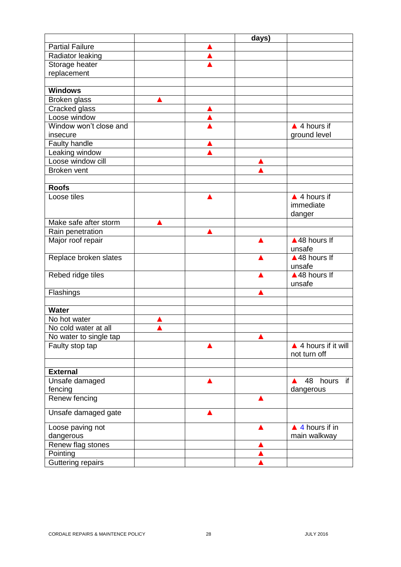|                        |  | days) |                                |
|------------------------|--|-------|--------------------------------|
| <b>Partial Failure</b> |  |       |                                |
| Radiator leaking       |  |       |                                |
| Storage heater         |  |       |                                |
| replacement            |  |       |                                |
|                        |  |       |                                |
| <b>Windows</b>         |  |       |                                |
| Broken glass           |  |       |                                |
| Cracked glass          |  |       |                                |
| Loose window           |  |       |                                |
| Window won't close and |  |       | $\triangle$ 4 hours if         |
| insecure               |  |       | ground level                   |
| <b>Faulty handle</b>   |  |       |                                |
| Leaking window         |  |       |                                |
| Loose window cill      |  |       |                                |
| Broken vent            |  |       |                                |
|                        |  |       |                                |
| <b>Roofs</b>           |  |       |                                |
| Loose tiles            |  |       | $\triangle$ 4 hours if         |
|                        |  |       | immediate                      |
|                        |  |       | danger                         |
| Make safe after storm  |  |       |                                |
| Rain penetration       |  |       |                                |
| Major roof repair      |  |       | $\triangle$ 48 hours If        |
|                        |  |       | unsafe                         |
| Replace broken slates  |  |       | ▲48 hours If                   |
|                        |  |       | unsafe                         |
| Rebed ridge tiles      |  |       | ▲48 hours If                   |
|                        |  |       | unsafe                         |
| Flashings              |  |       |                                |
|                        |  |       |                                |
| <b>Water</b>           |  |       |                                |
| No hot water           |  |       |                                |
| No cold water at all   |  |       |                                |
| No water to single tap |  |       |                                |
| Faulty stop tap        |  |       | $\triangle$ 4 hours if it will |
|                        |  |       | not turn off                   |
|                        |  |       |                                |
| <b>External</b>        |  |       |                                |
| Unsafe damaged         |  |       | 48 hours if                    |
| fencing                |  |       | dangerous                      |
| Renew fencing          |  |       |                                |
| Unsafe damaged gate    |  |       |                                |
|                        |  |       |                                |
| Loose paving not       |  |       | $\triangle$ 4 hours if in      |
| dangerous              |  |       | main walkway                   |
| Renew flag stones      |  |       |                                |
| Pointing               |  |       |                                |
| Guttering repairs      |  |       |                                |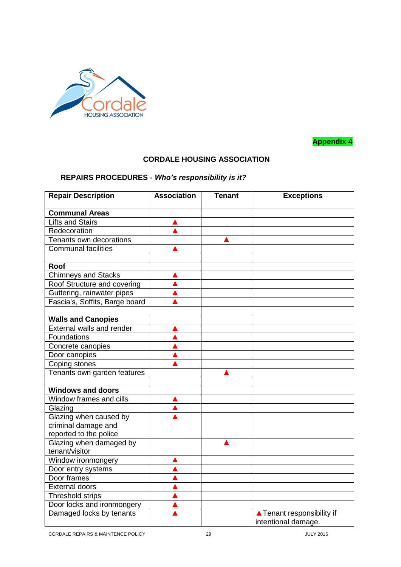

**Appendix 4**

# **CORDALE HOUSING ASSOCIATION**

# **REPAIRS PROCEDURES -** *Who's responsibility is it?*

| <b>Repair Description</b>                         | <b>Association</b> | <b>Tenant</b> | <b>Exceptions</b>                                 |
|---------------------------------------------------|--------------------|---------------|---------------------------------------------------|
| <b>Communal Areas</b>                             |                    |               |                                                   |
| <b>Lifts and Stairs</b>                           |                    |               |                                                   |
| Redecoration                                      |                    |               |                                                   |
| Tenants own decorations                           |                    |               |                                                   |
| <b>Communal facilities</b>                        |                    |               |                                                   |
|                                                   |                    |               |                                                   |
| <b>Roof</b>                                       |                    |               |                                                   |
| <b>Chimneys and Stacks</b>                        |                    |               |                                                   |
| Roof Structure and covering                       |                    |               |                                                   |
| Guttering, rainwater pipes                        |                    |               |                                                   |
| Fascia's, Soffits, Barge board                    |                    |               |                                                   |
|                                                   |                    |               |                                                   |
| <b>Walls and Canopies</b>                         |                    |               |                                                   |
| External walls and render                         |                    |               |                                                   |
| Foundations                                       |                    |               |                                                   |
| Concrete canopies                                 |                    |               |                                                   |
| Door canopies                                     |                    |               |                                                   |
| Coping stones                                     |                    |               |                                                   |
| Tenants own garden features                       |                    |               |                                                   |
|                                                   |                    |               |                                                   |
| <b>Windows and doors</b>                          |                    |               |                                                   |
| Window frames and cills                           |                    |               |                                                   |
| Glazing                                           |                    |               |                                                   |
| Glazing when caused by                            |                    |               |                                                   |
| criminal damage and                               |                    |               |                                                   |
| reported to the police<br>Glazing when damaged by |                    |               |                                                   |
| tenant/visitor                                    |                    |               |                                                   |
| Window ironmongery                                |                    |               |                                                   |
| Door entry systems                                |                    |               |                                                   |
| Door frames                                       |                    |               |                                                   |
| <b>External doors</b>                             |                    |               |                                                   |
| Threshold strips                                  |                    |               |                                                   |
| Door locks and ironmongery                        |                    |               |                                                   |
| Damaged locks by tenants                          |                    |               | ▲ Tenant responsibility if<br>intentional damage. |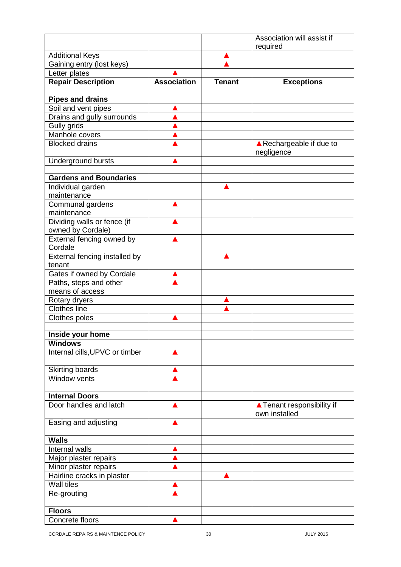|                                                  |                    |               | Association will assist if                  |
|--------------------------------------------------|--------------------|---------------|---------------------------------------------|
|                                                  |                    |               | required                                    |
| <b>Additional Keys</b>                           |                    |               |                                             |
| Gaining entry (lost keys)                        |                    |               |                                             |
| Letter plates                                    |                    |               |                                             |
| <b>Repair Description</b>                        | <b>Association</b> | <b>Tenant</b> | <b>Exceptions</b>                           |
| <b>Pipes and drains</b>                          |                    |               |                                             |
| Soil and vent pipes                              |                    |               |                                             |
| Drains and gully surrounds                       |                    |               |                                             |
| Gully grids                                      |                    |               |                                             |
| Manhole covers                                   |                    |               |                                             |
| <b>Blocked drains</b>                            |                    |               | ▲ Rechargeable if due to<br>negligence      |
| Underground bursts                               |                    |               |                                             |
| <b>Gardens and Boundaries</b>                    |                    |               |                                             |
| Individual garden                                |                    |               |                                             |
| maintenance                                      |                    |               |                                             |
| Communal gardens                                 |                    |               |                                             |
| maintenance                                      |                    |               |                                             |
| Dividing walls or fence (if<br>owned by Cordale) |                    |               |                                             |
| External fencing owned by                        |                    |               |                                             |
| Cordale                                          |                    |               |                                             |
| External fencing installed by<br>tenant          |                    |               |                                             |
| Gates if owned by Cordale                        |                    |               |                                             |
| Paths, steps and other<br>means of access        |                    |               |                                             |
| Rotary dryers                                    |                    |               |                                             |
| <b>Clothes line</b>                              |                    |               |                                             |
| Clothes poles                                    |                    |               |                                             |
|                                                  |                    |               |                                             |
| Inside your home                                 |                    |               |                                             |
| <b>Windows</b>                                   |                    |               |                                             |
| Internal cills, UPVC or timber                   |                    |               |                                             |
| <b>Skirting boards</b>                           |                    |               |                                             |
| Window vents                                     |                    |               |                                             |
|                                                  |                    |               |                                             |
| <b>Internal Doors</b>                            |                    |               |                                             |
| Door handles and latch                           |                    |               | ▲ Tenant responsibility if<br>own installed |
| Easing and adjusting                             |                    |               |                                             |
|                                                  |                    |               |                                             |
| <b>Walls</b>                                     |                    |               |                                             |
| Internal walls                                   |                    |               |                                             |
| Major plaster repairs                            |                    |               |                                             |
| Minor plaster repairs                            |                    |               |                                             |
| Hairline cracks in plaster                       |                    |               |                                             |
| <b>Wall tiles</b>                                |                    |               |                                             |
| Re-grouting                                      |                    |               |                                             |
|                                                  |                    |               |                                             |
| <b>Floors</b>                                    |                    |               |                                             |
| Concrete floors                                  |                    |               |                                             |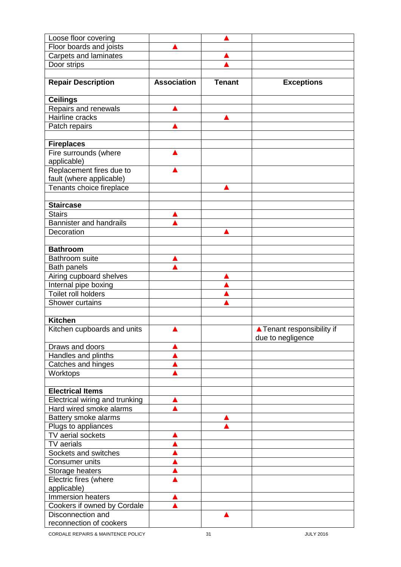| Loose floor covering                         |                    |               |                                                 |
|----------------------------------------------|--------------------|---------------|-------------------------------------------------|
| Floor boards and joists                      |                    |               |                                                 |
| Carpets and laminates                        |                    |               |                                                 |
| Door strips                                  |                    |               |                                                 |
|                                              |                    |               |                                                 |
| <b>Repair Description</b>                    | <b>Association</b> | <b>Tenant</b> | <b>Exceptions</b>                               |
| <b>Ceilings</b>                              |                    |               |                                                 |
| Repairs and renewals                         |                    |               |                                                 |
| <b>Hairline cracks</b>                       |                    |               |                                                 |
| Patch repairs                                |                    |               |                                                 |
|                                              |                    |               |                                                 |
| <b>Fireplaces</b>                            |                    |               |                                                 |
| Fire surrounds (where                        |                    |               |                                                 |
| applicable)                                  |                    |               |                                                 |
| Replacement fires due to                     |                    |               |                                                 |
| fault (where applicable)                     |                    |               |                                                 |
| Tenants choice fireplace                     |                    |               |                                                 |
|                                              |                    |               |                                                 |
| <b>Staircase</b>                             |                    |               |                                                 |
| <b>Stairs</b>                                |                    |               |                                                 |
| <b>Bannister and handrails</b><br>Decoration |                    |               |                                                 |
|                                              |                    |               |                                                 |
| <b>Bathroom</b>                              |                    |               |                                                 |
| Bathroom suite                               |                    |               |                                                 |
| Bath panels                                  |                    |               |                                                 |
| Airing cupboard shelves                      |                    |               |                                                 |
| Internal pipe boxing                         |                    |               |                                                 |
| <b>Toilet roll holders</b>                   |                    |               |                                                 |
| Shower curtains                              |                    |               |                                                 |
|                                              |                    |               |                                                 |
| <b>Kitchen</b>                               |                    |               |                                                 |
| Kitchen cupboards and units                  |                    |               | ▲ Tenant responsibility if<br>due to negligence |
| Draws and doors                              |                    |               |                                                 |
| Handles and plinths                          |                    |               |                                                 |
| Catches and hinges                           |                    |               |                                                 |
| Worktops                                     |                    |               |                                                 |
|                                              |                    |               |                                                 |
| <b>Electrical Items</b>                      |                    |               |                                                 |
| <b>Electrical wiring and trunking</b>        |                    |               |                                                 |
| Hard wired smoke alarms                      |                    |               |                                                 |
| Battery smoke alarms                         |                    |               |                                                 |
| Plugs to appliances<br>TV aerial sockets     |                    |               |                                                 |
|                                              |                    |               |                                                 |
| TV aerials<br>Sockets and switches           |                    |               |                                                 |
| <b>Consumer units</b>                        |                    |               |                                                 |
| Storage heaters                              |                    |               |                                                 |
| Electric fires (where                        |                    |               |                                                 |
| applicable)                                  |                    |               |                                                 |
| Immersion heaters                            |                    |               |                                                 |
| Cookers if owned by Cordale                  |                    |               |                                                 |
| Disconnection and                            |                    |               |                                                 |
| reconnection of cookers                      |                    |               |                                                 |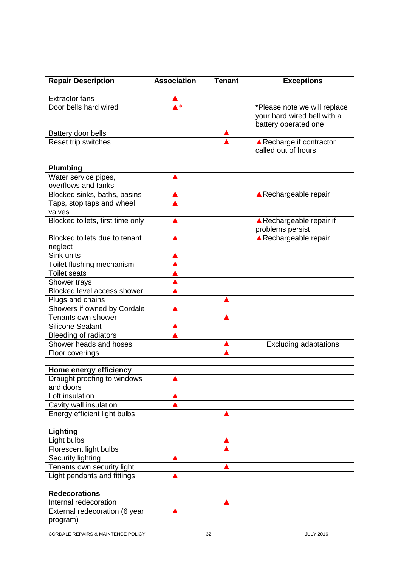| <b>Repair Description</b>                              | <b>Association</b> | <b>Tenant</b> | <b>Exceptions</b>                               |
|--------------------------------------------------------|--------------------|---------------|-------------------------------------------------|
| <b>Extractor fans</b>                                  |                    |               |                                                 |
| Door bells hard wired                                  | $\ast$             |               | *Please note we will replace                    |
|                                                        |                    |               | your hard wired bell with a                     |
|                                                        |                    |               | battery operated one                            |
| Battery door bells                                     |                    |               |                                                 |
| Reset trip switches                                    |                    |               | ▲ Recharge if contractor<br>called out of hours |
|                                                        |                    |               |                                                 |
| <b>Plumbing</b>                                        |                    |               |                                                 |
| Water service pipes,<br>overflows and tanks            |                    |               |                                                 |
| Blocked sinks, baths, basins                           |                    |               | ▲ Rechargeable repair                           |
| Taps, stop taps and wheel                              |                    |               |                                                 |
| valves                                                 |                    |               |                                                 |
| Blocked toilets, first time only                       |                    |               | ▲ Rechargeable repair if                        |
|                                                        |                    |               | problems persist                                |
| Blocked toilets due to tenant                          |                    |               | ▲ Rechargeable repair                           |
| neglect<br>Sink units                                  |                    |               |                                                 |
| Toilet flushing mechanism                              |                    |               |                                                 |
| <b>Toilet seats</b>                                    |                    |               |                                                 |
| Shower trays                                           |                    |               |                                                 |
| Blocked level access shower                            |                    |               |                                                 |
| Plugs and chains                                       |                    |               |                                                 |
| Showers if owned by Cordale                            |                    |               |                                                 |
| Tenants own shower                                     |                    |               |                                                 |
| <b>Silicone Sealant</b>                                |                    |               |                                                 |
| <b>Bleeding of radiators</b>                           |                    |               |                                                 |
| Shower heads and hoses                                 |                    |               | <b>Excluding adaptations</b>                    |
| Floor coverings                                        |                    |               |                                                 |
|                                                        |                    |               |                                                 |
| Home energy efficiency                                 |                    |               |                                                 |
| Draught proofing to windows                            |                    |               |                                                 |
| and doors                                              |                    |               |                                                 |
| Loft insulation                                        |                    |               |                                                 |
| Cavity wall insulation<br>Energy efficient light bulbs |                    |               |                                                 |
|                                                        |                    |               |                                                 |
| Lighting                                               |                    |               |                                                 |
| Light bulbs                                            |                    |               |                                                 |
| Florescent light bulbs                                 |                    |               |                                                 |
| Security lighting                                      |                    |               |                                                 |
| Tenants own security light                             |                    |               |                                                 |
| Light pendants and fittings                            |                    |               |                                                 |
|                                                        |                    |               |                                                 |
| <b>Redecorations</b>                                   |                    |               |                                                 |
| Internal redecoration                                  |                    |               |                                                 |
| External redecoration (6 year<br>program)              |                    |               |                                                 |
|                                                        |                    |               |                                                 |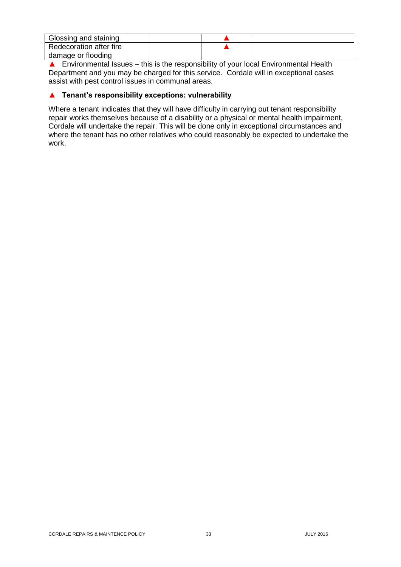| Glossing and staining   |  |  |
|-------------------------|--|--|
| Redecoration after fire |  |  |
| damage or flooding      |  |  |

 $\triangle$  Environmental Issues – this is the responsibility of your local Environmental Health Department and you may be charged for this service. Cordale will in exceptional cases assist with pest control issues in communal areas.

## ▲ **Tenant's responsibility exceptions: vulnerability**

Where a tenant indicates that they will have difficulty in carrying out tenant responsibility repair works themselves because of a disability or a physical or mental health impairment, Cordale will undertake the repair. This will be done only in exceptional circumstances and where the tenant has no other relatives who could reasonably be expected to undertake the work.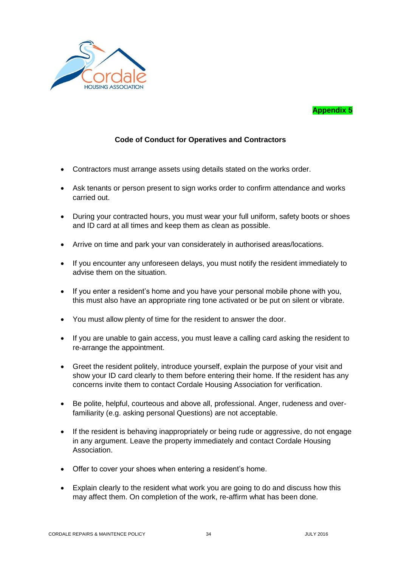

# **Appendix 5**

# **Code of Conduct for Operatives and Contractors**

- Contractors must arrange assets using details stated on the works order.
- Ask tenants or person present to sign works order to confirm attendance and works carried out.
- During your contracted hours, you must wear your full uniform, safety boots or shoes and ID card at all times and keep them as clean as possible.
- Arrive on time and park your van considerately in authorised areas/locations.
- If you encounter any unforeseen delays, you must notify the resident immediately to advise them on the situation.
- If you enter a resident's home and you have your personal mobile phone with you, this must also have an appropriate ring tone activated or be put on silent or vibrate.
- You must allow plenty of time for the resident to answer the door.
- If you are unable to gain access, you must leave a calling card asking the resident to re-arrange the appointment.
- Greet the resident politely, introduce yourself, explain the purpose of your visit and show your ID card clearly to them before entering their home. If the resident has any concerns invite them to contact Cordale Housing Association for verification.
- Be polite, helpful, courteous and above all, professional. Anger, rudeness and overfamiliarity (e.g. asking personal Questions) are not acceptable.
- If the resident is behaving inappropriately or being rude or aggressive, do not engage in any argument. Leave the property immediately and contact Cordale Housing Association.
- Offer to cover your shoes when entering a resident's home.
- Explain clearly to the resident what work you are going to do and discuss how this may affect them. On completion of the work, re-affirm what has been done.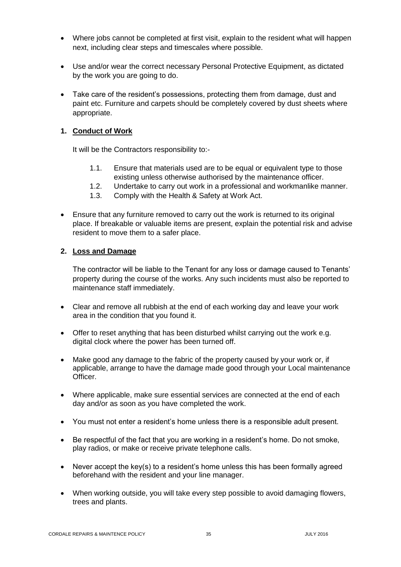- Where jobs cannot be completed at first visit, explain to the resident what will happen next, including clear steps and timescales where possible.
- Use and/or wear the correct necessary Personal Protective Equipment, as dictated by the work you are going to do.
- Take care of the resident's possessions, protecting them from damage, dust and paint etc. Furniture and carpets should be completely covered by dust sheets where appropriate.

#### **1. Conduct of Work**

It will be the Contractors responsibility to:-

- 1.1. Ensure that materials used are to be equal or equivalent type to those existing unless otherwise authorised by the maintenance officer.
- 1.2. Undertake to carry out work in a professional and workmanlike manner.
- 1.3. Comply with the Health & Safety at Work Act.
- Ensure that any furniture removed to carry out the work is returned to its original place. If breakable or valuable items are present, explain the potential risk and advise resident to move them to a safer place.

#### **2. Loss and Damage**

The contractor will be liable to the Tenant for any loss or damage caused to Tenants' property during the course of the works. Any such incidents must also be reported to maintenance staff immediately.

- Clear and remove all rubbish at the end of each working day and leave your work area in the condition that you found it.
- Offer to reset anything that has been disturbed whilst carrying out the work e.g. digital clock where the power has been turned off.
- Make good any damage to the fabric of the property caused by your work or, if applicable, arrange to have the damage made good through your Local maintenance Officer.
- Where applicable, make sure essential services are connected at the end of each day and/or as soon as you have completed the work.
- You must not enter a resident's home unless there is a responsible adult present.
- Be respectful of the fact that you are working in a resident's home. Do not smoke, play radios, or make or receive private telephone calls.
- Never accept the key(s) to a resident's home unless this has been formally agreed beforehand with the resident and your line manager.
- When working outside, you will take every step possible to avoid damaging flowers, trees and plants.